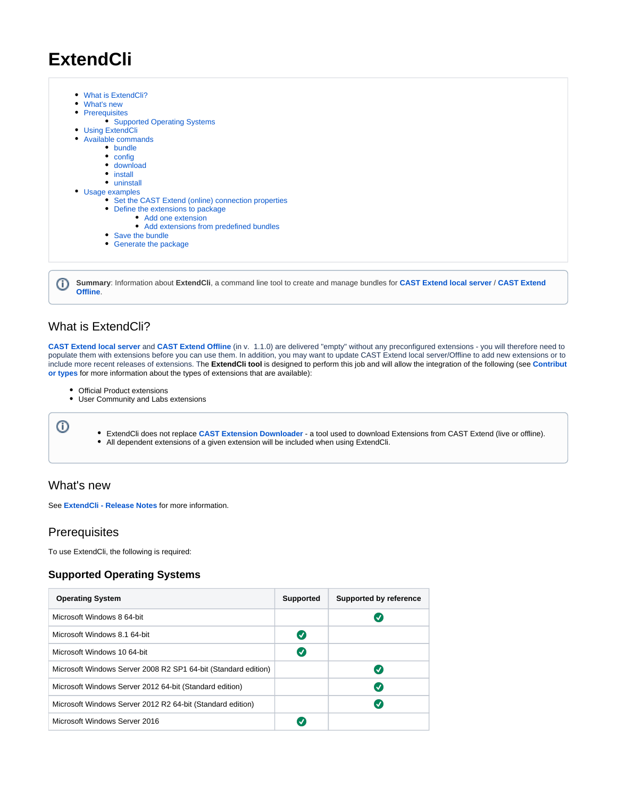# **ExtendCli**

• [What is ExtendCli?](#page-0-0) • [What's new](#page-0-1) • [Prerequisites](#page-0-2) **[Supported Operating Systems](#page-0-3)** • [Using ExtendCli](#page-0-4) [Available commands](#page-1-0) • [bundle](#page-1-1) • [config](#page-2-0) [download](#page-3-0) • [install](#page-4-0) • [uninstall](#page-5-0) [Usage examples](#page-5-1) • [Set the CAST Extend \(online\) connection properties](#page-5-2) [Define the extensions to package](#page-6-0) • [Add one extension](#page-6-1) • [Add extensions from predefined bundles](#page-6-2) • [Save the bundle](#page-7-0) [Generate the package](#page-7-1)

**Summary**: Information about **ExtendCli**, a command line tool to create and manage bundles for **[CAST Extend local server](https://doc.castsoftware.com/display/EXTEND/CAST+Extend+local+server)** / **[CAST Extend](https://doc.castsoftware.com/display/EXTEND/CAST+Extend+Offline)**  ⋒ **[Offline](https://doc.castsoftware.com/display/EXTEND/CAST+Extend+Offline)**.

# <span id="page-0-0"></span>What is ExtendCli?

**[CAST Extend local server](https://doc.castsoftware.com/display/EXTEND/CAST+Extend+local+server)** and **[CAST Extend Offline](https://doc.castsoftware.com/display/EXTEND/CAST+Extend+Offline)** (in v. 1.1.0) are delivered "empty" without any preconfigured extensions - you will therefore need to populate them with extensions before you can use them. In addition, you may want to update CAST Extend local server/Offline to add new extensions or to include more recent releases of extensions. The **ExtendCli tool** is designed to perform this job and will allow the integration of the following (see **[Contribut](https://doc.castsoftware.com/display/EXTEND/Contributor+types) [or types](https://doc.castsoftware.com/display/EXTEND/Contributor+types)** for more information about the types of extensions that are available):

- Official Product extensions
- User Community and Labs extensions

➀

- ExtendCli does not replace **[CAST Extension Downloader](https://doc.castsoftware.com/display/EXTEND/CAST+Extension+Downloader)** a tool used to download Extensions from CAST Extend (live or offline).
- All dependent extensions of a given extension will be included when using ExtendCli.

# <span id="page-0-1"></span>What's new

See **[ExtendCli - Release Notes](https://doc.castsoftware.com/display/EXTEND/ExtendCli+-+Release+Notes)** for more information.

# <span id="page-0-2"></span>**Prerequisites**

To use ExtendCli, the following is required:

### <span id="page-0-3"></span>**Supported Operating Systems**

<span id="page-0-4"></span>

| <b>Operating System</b>                                        | <b>Supported</b> | <b>Supported by reference</b> |
|----------------------------------------------------------------|------------------|-------------------------------|
| Microsoft Windows 8 64-bit                                     |                  | √                             |
| Microsoft Windows 8.1 64-bit                                   | Ø                |                               |
| Microsoft Windows 10 64-bit                                    | $\bm{\sigma}$    |                               |
| Microsoft Windows Server 2008 R2 SP1 64-bit (Standard edition) |                  | $\checkmark$                  |
| Microsoft Windows Server 2012 64-bit (Standard edition)        |                  | $\bm{U}$                      |
| Microsoft Windows Server 2012 R2 64-bit (Standard edition)     |                  | $\checkmark$                  |
| Microsoft Windows Server 2016                                  |                  |                               |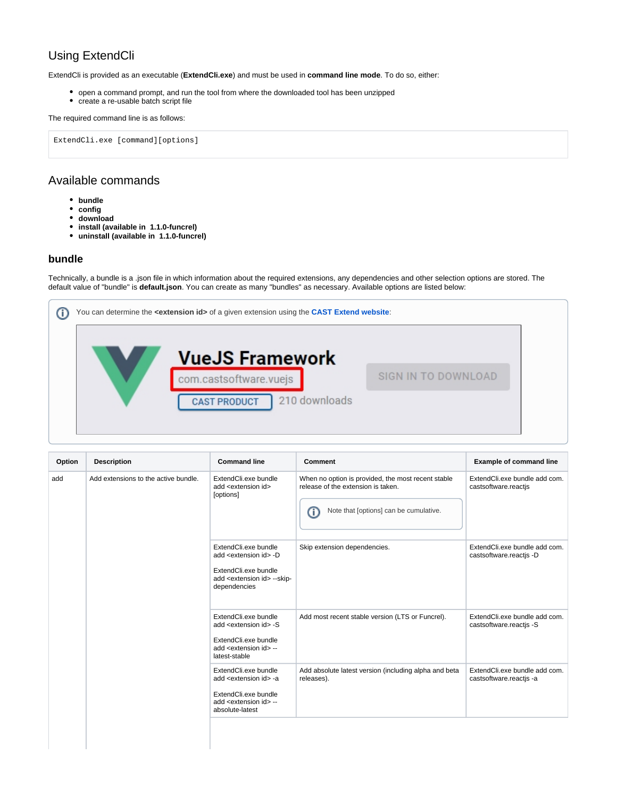# Using ExtendCli

ExtendCli is provided as an executable (**ExtendCli.exe**) and must be used in **command line mode**. To do so, either:

- open a command prompt, and run the tool from where the downloaded tool has been unzipped
- create a re-usable batch script file

#### The required command line is as follows:

ExtendCli.exe [command][options]

### <span id="page-1-0"></span>Available commands

- **bundle**
- **config**
- **download**
- **install (available in 1.1.0-funcrel)**
- **uninstall (available in 1.1.0-funcrel)**

### <span id="page-1-1"></span>**bundle**

Technically, a bundle is a .json file in which information about the required extensions, any dependencies and other selection options are stored. The default value of "bundle" is **default.json**. You can create as many "bundles" as necessary. Available options are listed below:



| <b>Description</b>                   | <b>Command line</b>                                                                                                                                  | Comment                                                                                                                                 | <b>Example of command line</b>                           |
|--------------------------------------|------------------------------------------------------------------------------------------------------------------------------------------------------|-----------------------------------------------------------------------------------------------------------------------------------------|----------------------------------------------------------|
| Add extensions to the active bundle. | ExtendCli.exe bundle<br>add <extension id=""><br/>[options]</extension>                                                                              | When no option is provided, the most recent stable<br>release of the extension is taken.<br>Note that [options] can be cumulative.<br>Œ | ExtendCli.exe bundle add com.<br>castsoftware.reactis    |
|                                      | ExtendCli.exe bundle<br>add <extension id=""> -D<br/>ExtendCli.exe bundle<br/>add <extension id=""> --skip-<br/>dependencies</extension></extension> | Skip extension dependencies.                                                                                                            | ExtendCli.exe bundle add com.<br>castsoftware.reactis -D |
|                                      | ExtendCli.exe bundle<br>add <extension id=""> -S<br/>ExtendCli.exe bundle<br/>add <extension id=""> --<br/>latest-stable</extension></extension>     | Add most recent stable version (LTS or Funcrel).                                                                                        | ExtendCli.exe bundle add com.<br>castsoftware.reactis -S |
|                                      | ExtendCli.exe bundle<br>add <extension id=""> -a<br/>ExtendCli.exe bundle<br/>add <extension id=""> --<br/>absolute-latest</extension></extension>   | Add absolute latest version (including alpha and beta<br>releases).                                                                     | ExtendCli.exe bundle add com.<br>castsoftware.reactjs -a |
|                                      |                                                                                                                                                      |                                                                                                                                         |                                                          |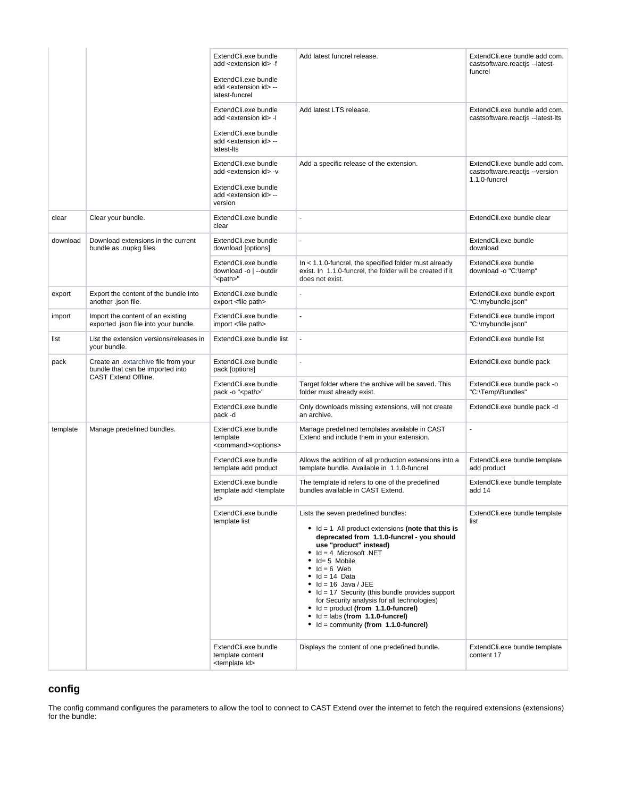|          |                                                                                                 | ExtendCli.exe bundle<br>add <extension id=""> -f</extension>                    | Add latest funcrel release.                                                                                                                                                                                                                                                                                                                                                                                                                                                                                                                                                                                                       | ExtendCli.exe bundle add com.<br>castsoftware.reactis --latest-<br>funcrel       |
|----------|-------------------------------------------------------------------------------------------------|---------------------------------------------------------------------------------|-----------------------------------------------------------------------------------------------------------------------------------------------------------------------------------------------------------------------------------------------------------------------------------------------------------------------------------------------------------------------------------------------------------------------------------------------------------------------------------------------------------------------------------------------------------------------------------------------------------------------------------|----------------------------------------------------------------------------------|
|          |                                                                                                 | ExtendCli.exe bundle<br>add <extension id=""> --<br/>latest-funcrel</extension> |                                                                                                                                                                                                                                                                                                                                                                                                                                                                                                                                                                                                                                   |                                                                                  |
|          |                                                                                                 | ExtendCli.exe bundle<br>add <extension id=""> -l</extension>                    | Add latest LTS release.                                                                                                                                                                                                                                                                                                                                                                                                                                                                                                                                                                                                           | ExtendCli.exe bundle add com.<br>castsoftware.reactjs --latest-lts               |
|          |                                                                                                 | ExtendCli.exe bundle<br>add <extension id=""> --<br/>latest-lts</extension>     |                                                                                                                                                                                                                                                                                                                                                                                                                                                                                                                                                                                                                                   |                                                                                  |
|          |                                                                                                 | ExtendCli.exe bundle<br>add <extension id=""> -v</extension>                    | Add a specific release of the extension.                                                                                                                                                                                                                                                                                                                                                                                                                                                                                                                                                                                          | ExtendCli.exe bundle add com.<br>castsoftware.reactjs --version<br>1.1.0-funcrel |
|          |                                                                                                 | ExtendCli.exe bundle<br>add <extension id=""> --<br/>version</extension>        |                                                                                                                                                                                                                                                                                                                                                                                                                                                                                                                                                                                                                                   |                                                                                  |
| clear    | Clear your bundle.                                                                              | ExtendCli.exe bundle<br>clear                                                   | $\overline{\phantom{a}}$                                                                                                                                                                                                                                                                                                                                                                                                                                                                                                                                                                                                          | ExtendCli.exe bundle clear                                                       |
| download | Download extensions in the current<br>bundle as .nupkg files                                    | ExtendCli.exe bundle<br>download [options]                                      | $\overline{\phantom{a}}$                                                                                                                                                                                                                                                                                                                                                                                                                                                                                                                                                                                                          | ExtendCli.exe bundle<br>download                                                 |
|          |                                                                                                 | ExtendCli.exe bundle<br>download -o   --outdir<br>" <path>"</path>              | $In < 1.1.0$ -funcrel, the specified folder must already<br>exist. In 1.1.0-funcrel, the folder will be created if it<br>does not exist.                                                                                                                                                                                                                                                                                                                                                                                                                                                                                          | ExtendCli.exe bundle<br>download -o "C:\temp"                                    |
| export   | Export the content of the bundle into<br>another .json file.                                    | ExtendCli.exe bundle<br>export <file path=""></file>                            |                                                                                                                                                                                                                                                                                                                                                                                                                                                                                                                                                                                                                                   | ExtendCli.exe bundle export<br>"C:\mybundle.json"                                |
| import   | Import the content of an existing<br>exported .json file into your bundle.                      | ExtendCli.exe bundle<br>import <file path=""></file>                            | ÷,                                                                                                                                                                                                                                                                                                                                                                                                                                                                                                                                                                                                                                | ExtendCli.exe bundle import<br>"C:\mybundle.json"                                |
| list     | List the extension versions/releases in<br>your bundle.                                         | ExtendCli.exe bundle list                                                       | $\blacksquare$                                                                                                                                                                                                                                                                                                                                                                                                                                                                                                                                                                                                                    | ExtendCli.exe bundle list                                                        |
| pack     | Create an extarchive file from your<br>bundle that can be imported into<br>CAST Extend Offline. | ExtendCli.exe bundle<br>pack [options]                                          | ÷,                                                                                                                                                                                                                                                                                                                                                                                                                                                                                                                                                                                                                                | ExtendCli.exe bundle pack                                                        |
|          |                                                                                                 | ExtendCli.exe bundle<br>pack -o " <path>"</path>                                | Target folder where the archive will be saved. This<br>folder must already exist.                                                                                                                                                                                                                                                                                                                                                                                                                                                                                                                                                 | ExtendCli.exe bundle pack -o<br>"C:\Temp\Bundles"                                |
|          |                                                                                                 | ExtendCli.exe bundle<br>pack -d                                                 | Only downloads missing extensions, will not create<br>an archive.                                                                                                                                                                                                                                                                                                                                                                                                                                                                                                                                                                 | ExtendCli.exe bundle pack -d                                                     |
| template | Manage predefined bundles.                                                                      | ExtendCli.exe bundle<br>template<br><command/> <options></options>              | Manage predefined templates available in CAST<br>Extend and include them in your extension.                                                                                                                                                                                                                                                                                                                                                                                                                                                                                                                                       | $\overline{a}$                                                                   |
|          |                                                                                                 | ExtendCli.exe bundle<br>template add product                                    | Allows the addition of all production extensions into a<br>template bundle. Available in 1.1.0-funcrel.                                                                                                                                                                                                                                                                                                                                                                                                                                                                                                                           | ExtendCli.exe bundle template<br>add product                                     |
|          |                                                                                                 | ExtendCli.exe bundle<br>template add <template<br>id&gt;</template<br>          | The template id refers to one of the predefined<br>bundles available in CAST Extend.                                                                                                                                                                                                                                                                                                                                                                                                                                                                                                                                              | ExtendCli.exe bundle template<br>add 14                                          |
|          |                                                                                                 | ExtendCli.exe bundle<br>template list<br>ExtendCli.exe bundle                   | Lists the seven predefined bundles:<br>$\bullet$ Id = 1 All product extensions (note that this is<br>deprecated from 1.1.0-funcrel - you should<br>use "product" instead)<br>$\bullet$ Id = 4 Microsoft .NET<br>$\bullet$ Id= 5 Mobile<br>$\bullet$ Id = 6 Web<br>$\bullet$ Id = 14 Data<br>$\bullet$ Id = 16 Java / JEE<br>$\bullet$ Id = 17 Security (this bundle provides support<br>for Security analysis for all technologies)<br>$\bullet$ Id = product (from 1.1.0-funcrel)<br>$\bullet$ Id = labs (from 1.1.0-funcrel)<br>$\bullet$ Id = community (from 1.1.0-funcrel)<br>Displays the content of one predefined bundle. | ExtendCli.exe bundle template<br>list<br>ExtendCli.exe bundle template           |
|          |                                                                                                 | template content<br><template id=""></template>                                 |                                                                                                                                                                                                                                                                                                                                                                                                                                                                                                                                                                                                                                   | content 17                                                                       |

# <span id="page-2-0"></span>**config**

The config command configures the parameters to allow the tool to connect to CAST Extend over the internet to fetch the required extensions (extensions) for the bundle: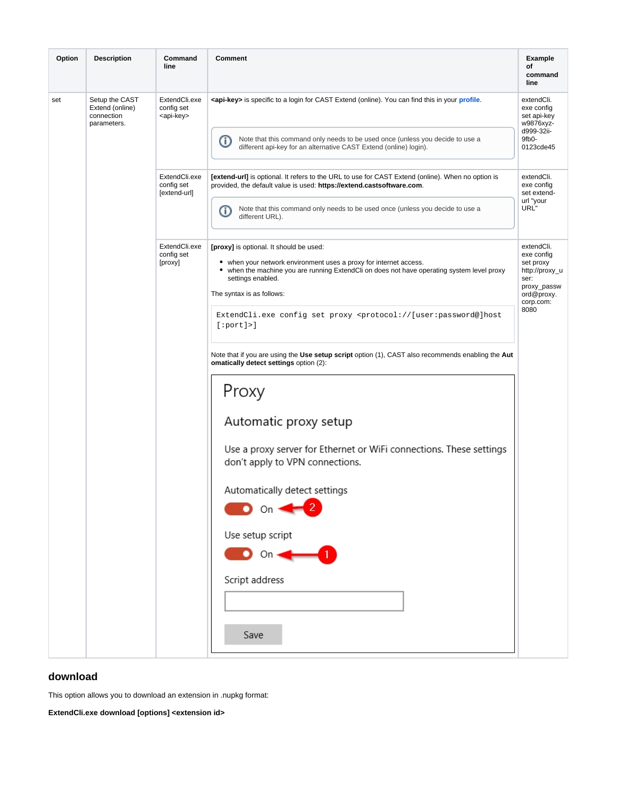| Option | <b>Description</b>                                             | Command<br>line                                    | Comment<br><b>Example</b><br>оf<br>command<br>line                                                                                                                                                                                                                                                                                                                                                                                                                                                                                                                                                                                                                                                                                                |                                                                                                                   |  |
|--------|----------------------------------------------------------------|----------------------------------------------------|---------------------------------------------------------------------------------------------------------------------------------------------------------------------------------------------------------------------------------------------------------------------------------------------------------------------------------------------------------------------------------------------------------------------------------------------------------------------------------------------------------------------------------------------------------------------------------------------------------------------------------------------------------------------------------------------------------------------------------------------------|-------------------------------------------------------------------------------------------------------------------|--|
| set    | Setup the CAST<br>Extend (online)<br>connection<br>parameters. | ExtendCli.exe<br>config set<br><api-key></api-key> | <b><api-key></api-key></b> is specific to a login for CAST Extend (online). You can find this in your profile.                                                                                                                                                                                                                                                                                                                                                                                                                                                                                                                                                                                                                                    |                                                                                                                   |  |
|        |                                                                |                                                    | Note that this command only needs to be used once (unless you decide to use a<br>➀<br>different api-key for an alternative CAST Extend (online) login).                                                                                                                                                                                                                                                                                                                                                                                                                                                                                                                                                                                           | d999-32ii-<br>9fb0-<br>0123cde45                                                                                  |  |
|        |                                                                | ExtendCli.exe<br>config set<br>[extend-url]        | <b>[extend-url]</b> is optional. It refers to the URL to use for CAST Extend (online). When no option is<br>provided, the default value is used: https://extend.castsoftware.com.                                                                                                                                                                                                                                                                                                                                                                                                                                                                                                                                                                 | extendCli.<br>exe config<br>set extend-<br>url "your                                                              |  |
|        |                                                                |                                                    | Note that this command only needs to be used once (unless you decide to use a<br>⋒<br>different URL).                                                                                                                                                                                                                                                                                                                                                                                                                                                                                                                                                                                                                                             | URL"                                                                                                              |  |
|        |                                                                | ExtendCli.exe<br>config set<br>[proxy]             | [proxy] is optional. It should be used:<br>• when your network environment uses a proxy for internet access.<br>• when the machine you are running ExtendCli on does not have operating system level proxy<br>settings enabled.<br>The syntax is as follows:<br>ExtendCli.exe config set proxy <protocol: [user:password@]host<br="">[:port]<br/>Note that if you are using the Use setup script option (1), CAST also recommends enabling the Aut<br/>omatically detect settings option (2):<br/>Proxy<br/>Automatic proxy setup<br/>Use a proxy server for Ethernet or WiFi connections. These settings<br/>don't apply to VPN connections.<br/>Automatically detect settings<br/><math>\bullet</math> on <math>\leftarrow</math> 2</protocol:> | extendCli.<br>exe config<br>set proxy<br>http://proxy_u<br>ser:<br>proxy_passw<br>ord@proxy.<br>corp.com:<br>8080 |  |
|        |                                                                |                                                    | Use setup script<br>On $\rightarrow$                                                                                                                                                                                                                                                                                                                                                                                                                                                                                                                                                                                                                                                                                                              |                                                                                                                   |  |
|        |                                                                |                                                    | Script address                                                                                                                                                                                                                                                                                                                                                                                                                                                                                                                                                                                                                                                                                                                                    |                                                                                                                   |  |
|        |                                                                |                                                    | Save                                                                                                                                                                                                                                                                                                                                                                                                                                                                                                                                                                                                                                                                                                                                              |                                                                                                                   |  |

### <span id="page-3-0"></span>**download**

This option allows you to download an extension in .nupkg format:

**ExtendCli.exe download [options] <extension id>**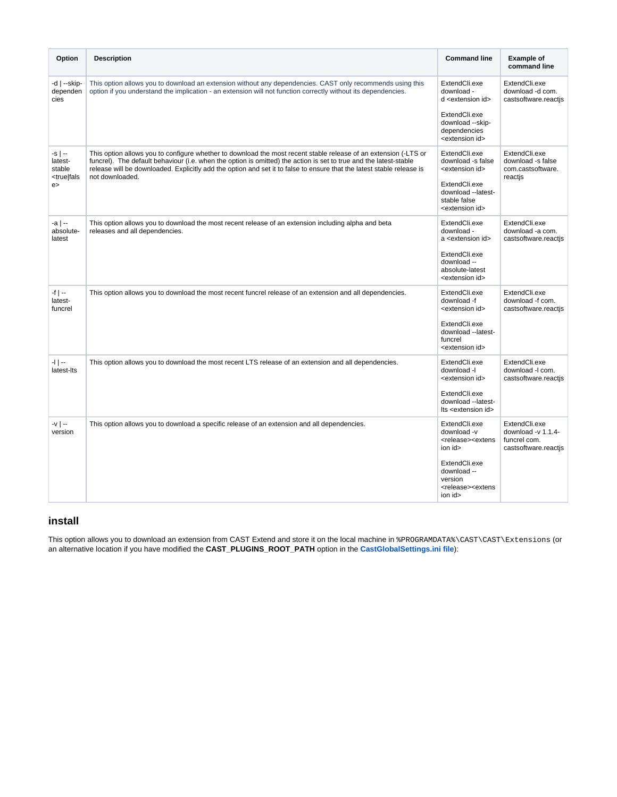| Option                                                            | <b>Description</b>                                                                                                                                                                                                                                                                                                                                                               | <b>Command line</b>                                                                                                                                                                         | <b>Example of</b><br>command line                                              |
|-------------------------------------------------------------------|----------------------------------------------------------------------------------------------------------------------------------------------------------------------------------------------------------------------------------------------------------------------------------------------------------------------------------------------------------------------------------|---------------------------------------------------------------------------------------------------------------------------------------------------------------------------------------------|--------------------------------------------------------------------------------|
| $-d$   $-skip-$<br>dependen<br>cies                               | This option allows you to download an extension without any dependencies. CAST only recommends using this<br>option if you understand the implication - an extension will not function correctly without its dependencies.                                                                                                                                                       | ExtendCli.exe<br>download -<br>d <extension id=""><br/>ExtendCli.exe<br/>download --skip-<br/>dependencies<br/><extension id=""></extension></extension>                                    | ExtendCli.exe<br>download -d com.<br>castsoftware.reactis                      |
| $-S$   $-$<br>latest-<br>stable<br><true fals<br>e</true fals<br> | This option allows you to configure whether to download the most recent stable release of an extension (-LTS or<br>funcrel). The default behaviour (i.e. when the option is omitted) the action is set to true and the latest-stable<br>release will be downloaded. Explicitly add the option and set it to false to ensure that the latest stable release is<br>not downloaded. | ExtendCli.exe<br>download -s false<br><extension id=""><br/>ExtendCli.exe<br/>download --latest-<br/>stable false<br/><extension id=""></extension></extension>                             | ExtendCli.exe<br>download -s false<br>com.castsoftware.<br>reactis             |
| $-a$   $-$<br>absolute-<br>latest                                 | This option allows you to download the most recent release of an extension including alpha and beta<br>releases and all dependencies.                                                                                                                                                                                                                                            | ExtendCli.exe<br>download -<br>a <extension id=""><br/>ExtendCli.exe<br/>download --<br/>absolute-latest<br/><extension id=""></extension></extension>                                      | ExtendCli.exe<br>download -a com.<br>castsoftware.reactjs                      |
| $-f$   $-$<br>latest-<br>funcrel                                  | This option allows you to download the most recent funcrel release of an extension and all dependencies.                                                                                                                                                                                                                                                                         | ExtendCli.exe<br>download -f<br><extension id=""><br/>ExtendCli.exe<br/>download --latest-<br/>funcrel<br/><extension id=""></extension></extension>                                        | ExtendCli.exe<br>download -f com.<br>castsoftware.reactis                      |
| $-1$   $-$<br>latest-lts                                          | This option allows you to download the most recent LTS release of an extension and all dependencies.                                                                                                                                                                                                                                                                             | ExtendCli.exe<br>download -l<br><extension id=""><br/>ExtendCli.exe<br/>download --latest-<br/>Its <extension id=""></extension></extension>                                                | ExtendCli.exe<br>download - com.<br>castsoftware.reactjs                       |
| $-V$   --<br>version                                              | This option allows you to download a specific release of an extension and all dependencies.                                                                                                                                                                                                                                                                                      | ExtendCli.exe<br>download -v<br><release><extens<br>ion id&gt;<br/>ExtendCli.exe<br/>download --<br/>version<br/><release><extens<br>ion id&gt;</extens<br></release></extens<br></release> | ExtendCli.exe<br>download - $v$ 1.1.4-<br>funcrel com.<br>castsoftware.reactjs |

### <span id="page-4-0"></span>**install**

This option allows you to download an extension from CAST Extend and store it on the local machine in %PROGRAMDATA%\CAST\CAST\Extensions (or an alternative location if you have modified the **CAST\_PLUGINS\_ROOT\_PATH** option in the **[CastGlobalSettings.ini file](https://doc.castsoftware.com/pages/viewpage.action?pageId=378516368)**):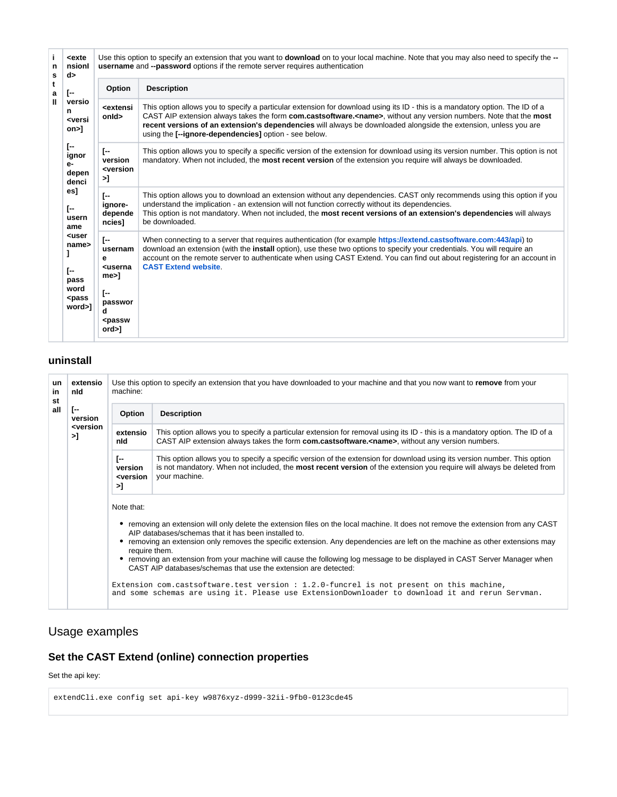| j.<br>n<br>s | <exte<br>nsionl<br/>d&gt;</exte<br>                                                    | Use this option to specify an extension that you want to <b>download</b> on to your local machine. Note that you may also need to specify the --<br><b>username</b> and --password options if the remote server requires authentication |                                                                                                                                                                                                                                                                                                                                                                                                                                          |  |  |
|--------------|----------------------------------------------------------------------------------------|-----------------------------------------------------------------------------------------------------------------------------------------------------------------------------------------------------------------------------------------|------------------------------------------------------------------------------------------------------------------------------------------------------------------------------------------------------------------------------------------------------------------------------------------------------------------------------------------------------------------------------------------------------------------------------------------|--|--|
| t<br>а       | T--                                                                                    | Option                                                                                                                                                                                                                                  | <b>Description</b>                                                                                                                                                                                                                                                                                                                                                                                                                       |  |  |
| Ш            | versio<br>n<br><versi<br><math>on</math><math>&gt;</math>]</versi<br>                  | <b><extensi< b=""><br/>onld&gt;</extensi<></b>                                                                                                                                                                                          | This option allows you to specify a particular extension for download using its ID - this is a mandatory option. The ID of a<br>CAST AIP extension always takes the form com.castsoftware. <name>, without any version numbers. Note that the most<br/>recent versions of an extension's dependencies will always be downloaded alongside the extension, unless you are<br/>using the [--ignore-dependencies] option - see below.</name> |  |  |
|              | $\Gamma$<br>ignor<br>е-<br>depen<br>denci<br>es]<br>T--<br>usern<br>ame                | [--<br>version<br><version<br>&gt;]</version<br>                                                                                                                                                                                        | This option allows you to specify a specific version of the extension for download using its version number. This option is not<br>mandatory. When not included, the <b>most recent version</b> of the extension you require will always be downloaded.                                                                                                                                                                                  |  |  |
|              |                                                                                        | [--<br>ignore-<br>depende<br>ncies]                                                                                                                                                                                                     | This option allows you to download an extension without any dependencies. CAST only recommends using this option if you<br>understand the implication - an extension will not function correctly without its dependencies.<br>This option is not mandatory. When not included, the most recent versions of an extension's dependencies will always<br>be downloaded.                                                                     |  |  |
|              | <user<br>name&gt;<br/>ſ--<br/>pass<br/>word<br/><pass<br>word&gt;1</pass<br></user<br> | [--<br>usernam<br>е<br><b><userna< b=""><br/>me&gt;1<br/>[--<br/>passwor<br/>d<br/><passw<br>ord &gt;]</passw<br></userna<></b>                                                                                                         | When connecting to a server that requires authentication (for example https://extend.castsoftware.com:443/api) to<br>download an extension (with the install option), use these two options to specify your credentials. You will require an<br>account on the remote server to authenticate when using CAST Extend. You can find out about registering for an account in<br><b>CAST Extend website.</b>                                 |  |  |

### <span id="page-5-0"></span>**uninstall**

| <b>un</b><br>in<br>st | extensio<br>nld<br>$\Gamma$<br>version<br><b><version< b=""><br/>&gt;]</version<></b> | Use this option to specify an extension that you have downloaded to your machine and that you now want to remove from your<br>machine: |                                                                                                                                                                                                                                                                                                                                                                                                                                                                                                                                                                                                                                                                                                                                           |  |  |
|-----------------------|---------------------------------------------------------------------------------------|----------------------------------------------------------------------------------------------------------------------------------------|-------------------------------------------------------------------------------------------------------------------------------------------------------------------------------------------------------------------------------------------------------------------------------------------------------------------------------------------------------------------------------------------------------------------------------------------------------------------------------------------------------------------------------------------------------------------------------------------------------------------------------------------------------------------------------------------------------------------------------------------|--|--|
| all                   |                                                                                       | <b>Option</b>                                                                                                                          | <b>Description</b>                                                                                                                                                                                                                                                                                                                                                                                                                                                                                                                                                                                                                                                                                                                        |  |  |
|                       |                                                                                       | extensio<br>nld                                                                                                                        | This option allows you to specify a particular extension for removal using its ID - this is a mandatory option. The ID of a<br>CAST AIP extension always takes the form com.castsoftware. <name>, without any version numbers.</name>                                                                                                                                                                                                                                                                                                                                                                                                                                                                                                     |  |  |
|                       |                                                                                       | I-<br>version<br><version<br>&gt;]</version<br>                                                                                        | This option allows you to specify a specific version of the extension for download using its version number. This option<br>is not mandatory. When not included, the most recent version of the extension you require will always be deleted from<br>your machine.                                                                                                                                                                                                                                                                                                                                                                                                                                                                        |  |  |
|                       |                                                                                       | Note that:                                                                                                                             | • removing an extension will only delete the extension files on the local machine. It does not remove the extension from any CAST<br>AIP databases/schemas that it has been installed to.<br>removing an extension only removes the specific extension. Any dependencies are left on the machine as other extensions may<br>require them.<br>removing an extension from your machine will cause the following log message to be displayed in CAST Server Manager when<br>CAST AIP databases/schemas that use the extension are detected:<br>Extension com.castsoftware.test version $: 1.2.0$ -funcrel is not present on this machine,<br>and some schemas are using it. Please use ExtensionDownloader to download it and rerun Servman. |  |  |

# <span id="page-5-1"></span>Usage examples

# <span id="page-5-2"></span>**Set the CAST Extend (online) connection properties**

### Set the api key:

extendCli.exe config set api-key w9876xyz-d999-32ii-9fb0-0123cde45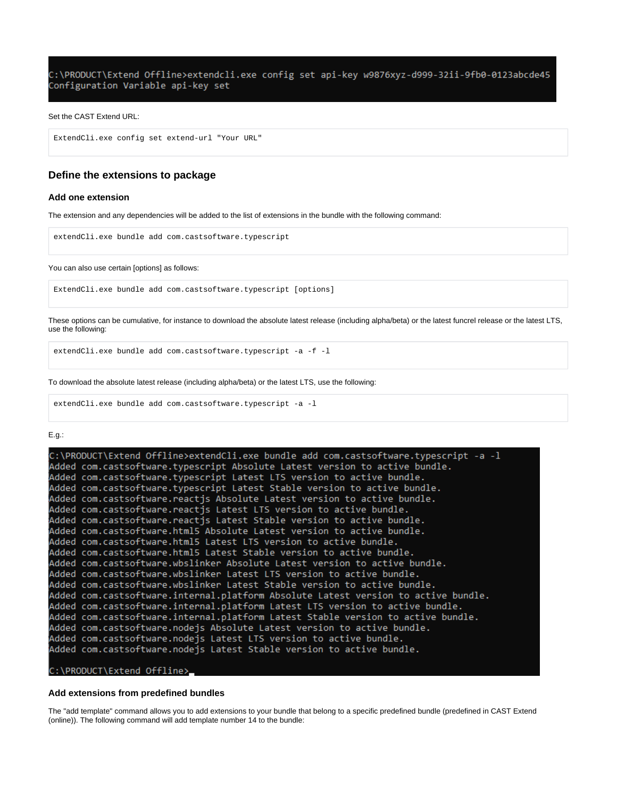C:\PRODUCT\Extend Offline>extendcli.exe config set api-key w9876xyz-d999-32ii-9fb0-0123abcde45 Configuration Variable api-key set

#### Set the CAST Extend URL:

```
ExtendCli.exe config set extend-url "Your URL"
```
### <span id="page-6-0"></span>**Define the extensions to package**

### <span id="page-6-1"></span>**Add one extension**

The extension and any dependencies will be added to the list of extensions in the bundle with the following command:

extendCli.exe bundle add com.castsoftware.typescript

#### You can also use certain [options] as follows:

ExtendCli.exe bundle add com.castsoftware.typescript [options]

These options can be cumulative, for instance to download the absolute latest release (including alpha/beta) or the latest funcrel release or the latest LTS, use the following:

extendCli.exe bundle add com.castsoftware.typescript -a -f -l

To download the absolute latest release (including alpha/beta) or the latest LTS, use the following:

extendCli.exe bundle add com.castsoftware.typescript -a -l

#### E.g.:

| [C:\PRODUCT\Extend Offline>extendCli.exe bundle add com.castsoftware.typescript -a -l |
|---------------------------------------------------------------------------------------|
| Added com.castsoftware.typescript Absolute Latest version to active bundle.           |
| Added com.castsoftware.typescript Latest LTS version to active bundle.                |
| Added com.castsoftware.typescript Latest Stable version to active bundle.             |
| Added com.castsoftware.reactjs Absolute Latest version to active bundle.              |
| Added com.castsoftware.reactjs Latest LTS version to active bundle.                   |
| Added com.castsoftware.reactjs Latest Stable version to active bundle.                |
| Added com.castsoftware.html5 Absolute Latest version to active bundle.                |
| Added com.castsoftware.html5 Latest LTS version to active bundle.                     |
| Added com.castsoftware.html5                Latest Stable version to active bundle.   |
| Added com.castsoftware.wbslinker Absolute Latest version to active bundle.            |
| Added com.castsoftware.wbslinker Latest LTS version to active bundle.                 |
| Added com.castsoftware.wbslinker Latest Stable version to active bundle.              |
| Added com.castsoftware.internal.platform Absolute Latest version to active bundle.    |
| Added com.castsoftware.internal.platform Latest LTS version to active bundle.         |
| Added com.castsoftware.internal.platform Latest Stable version to active bundle.      |
| Added com.castsoftware.nodejs Absolute Latest version to active bundle.               |
| Added com.castsoftware.nodejs Latest LTS version to active bundle.                    |
| Added com.castsoftware.nodejs Latest Stable version to active bundle.                 |
|                                                                                       |

### C:\PRODUCT\Extend Offline>

#### <span id="page-6-2"></span>**Add extensions from predefined bundles**

The "add template" command allows you to add extensions to your bundle that belong to a specific predefined bundle (predefined in CAST Extend (online)). The following command will add template number 14 to the bundle: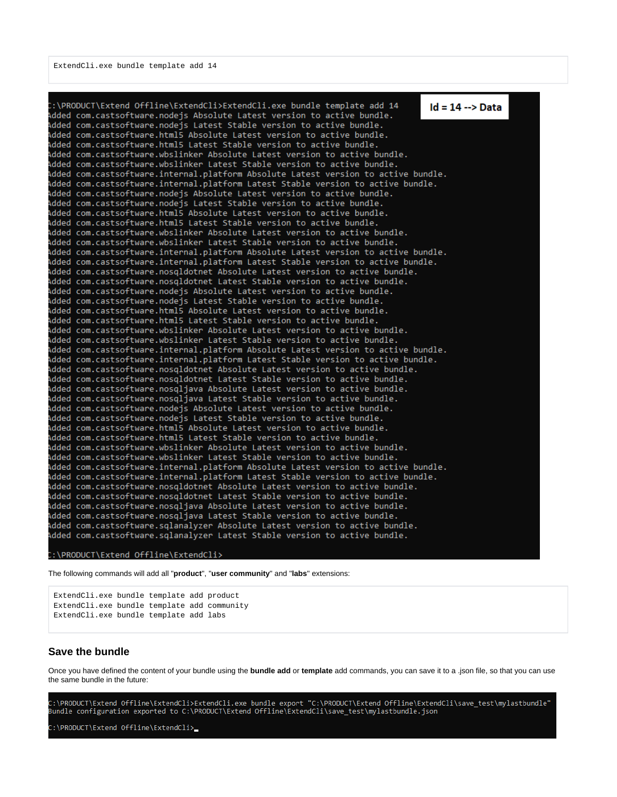:\PRODUCT\Extend Offline\ExtendCli>ExtendCli.exe bundle template add 14  $Id = 14 \rightarrow Data$ Added com.castsoftware.nodejs Absolute Latest version to active bundle. Added com.castsoftware.nodejs Latest Stable version to active bundle. Added com.castsoftware.html5 Absolute Latest version to active bundle. Added com.castsoftware.html5 Latest Stable version to active bundle. Added com.castsoftware.wbslinker Absolute Latest version to active bundle. Added com.castsoftware.wbslinker Latest Stable version to active bundle. Added com.castsoftware.internal.platform Absolute Latest version to active bundle. Added com.castsoftware.internal.platform Latest Stable version to active bundle. Added com.castsoftware.nodejs Absolute Latest version to active bundle. Added com.castsoftware.nodejs Latest Stable version to active bundle. Added com.castsoftware.html5 Absolute Latest version to active bundle. Added com.castsoftware.html5 Latest Stable version to active bundle. Added com.castsoftware.wbslinker Absolute Latest version to active bundle. Added com.castsoftware.wbslinker Latest Stable version to active bundle. Added com.castsoftware.internal.platform Absolute Latest version to active bundle. Added com.castsoftware.internal.platform Latest Stable version to active bundle. Added com.castsoftware.nosqldotnet Absolute Latest version to active bundle. Added com.castsoftware.nosqldotnet Latest Stable version to active bundle. Added com.castsoftware.nodejs Absolute Latest version to active bundle. Added com.castsoftware.nodejs Latest Stable version to active bundle. Added com.castsoftware.html5 Absolute Latest version to active bundle. Added com.castsoftware.html5 Latest Stable version to active bundle. Added com.castsoftware.wbslinker Absolute Latest version to active bundle. Added com.castsoftware.wbslinker Latest Stable version to active bundle. Added com.castsoftware.internal.platform Absolute Latest version to active bundle. Added com.castsoftware.internal.platform Latest Stable version to active bundle. Added com.castsoftware.nosgldotnet Absolute Latest version to active bundle. Added com.castsoftware.nosqldotnet Latest Stable version to active bundle. Added com.castsoftware.nosqljava Absolute Latest version to active bundle. Added com.castsoftware.nosqljava Latest Stable version to active bundle. Added com.castsoftware.nodejs Absolute Latest version to active bundle. Added com.castsoftware.nodejs Latest Stable version to active bundle. Added com.castsoftware.html5 Absolute Latest version to active bundle. Added com.castsoftware.html5 Latest Stable version to active bundle. Added com.castsoftware.wbslinker Absolute Latest version to active bundle. Added com.castsoftware.wbslinker Latest Stable version to active bundle. Added com.castsoftware.internal.platform Absolute Latest version to active bundle. Added com.castsoftware.internal.platform Latest Stable version to active bundle. Added com.castsoftware.nosgldotnet Absolute Latest version to active bundle. Added com.castsoftware.nosqldotnet Latest Stable version to active bundle. Added com.castsoftware.nosqljava Absolute Latest version to active bundle. Added com.castsoftware.nosqljava Latest Stable version to active bundle. Added com.castsoftware.sqlanalyzer Absolute Latest version to active bundle. Added com.castsoftware.sqlanalyzer Latest Stable version to active bundle.

:\PRODUCT\Extend Offline\ExtendCli>

The following commands will add all "**product**", "**user community**" and "**labs**" extensions:

```
ExtendCli.exe bundle template add product
ExtendCli.exe bundle template add community
ExtendCli.exe bundle template add labs
```
### <span id="page-7-0"></span>**Save the bundle**

Once you have defined the content of your bundle using the **bundle add** or **template** add commands, you can save it to a .json file, so that you can use the same bundle in the future:

C:\PRODUCT\Extend Offline\ExtendCli>ExtendCli.exe bundle export "C:\PRODUCT\Extend Offline\ExtendCli\save test\mylastbundle" Bundle configuration exported to C:\PRODUCT\Extend Offline\ExtendCli\save\_test\mylastbundle.json

<span id="page-7-1"></span>:\PRODUCT\Extend Offline\ExtendCli>